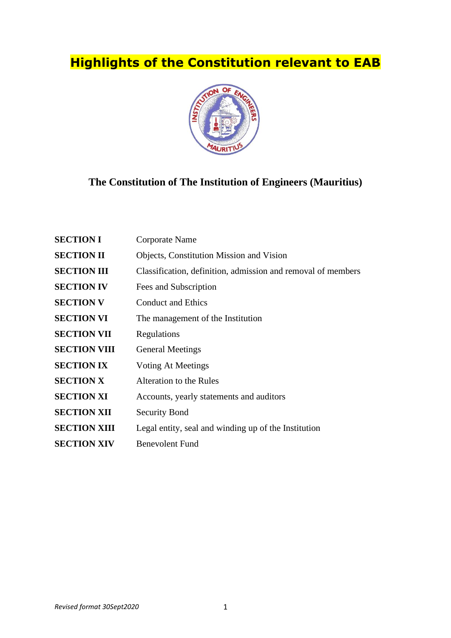# **Highlights of the Constitution relevant to EAB**



# **The Constitution of The Institution of Engineers (Mauritius)**

| <b>SECTION I</b>    | Corporate Name                                               |
|---------------------|--------------------------------------------------------------|
| <b>SECTION II</b>   | <b>Objects, Constitution Mission and Vision</b>              |
| <b>SECTION III</b>  | Classification, definition, admission and removal of members |
| <b>SECTION IV</b>   | Fees and Subscription                                        |
| <b>SECTION V</b>    | <b>Conduct and Ethics</b>                                    |
| <b>SECTION VI</b>   | The management of the Institution                            |
| <b>SECTION VII</b>  | Regulations                                                  |
| <b>SECTION VIII</b> | <b>General Meetings</b>                                      |
| <b>SECTION IX</b>   | Voting At Meetings                                           |
| <b>SECTION X</b>    | Alteration to the Rules                                      |
| <b>SECTION XI</b>   | Accounts, yearly statements and auditors                     |
| <b>SECTION XII</b>  | <b>Security Bond</b>                                         |
| <b>SECTION XIII</b> | Legal entity, seal and winding up of the Institution         |
| <b>SECTION XIV</b>  | <b>Benevolent Fund</b>                                       |
|                     |                                                              |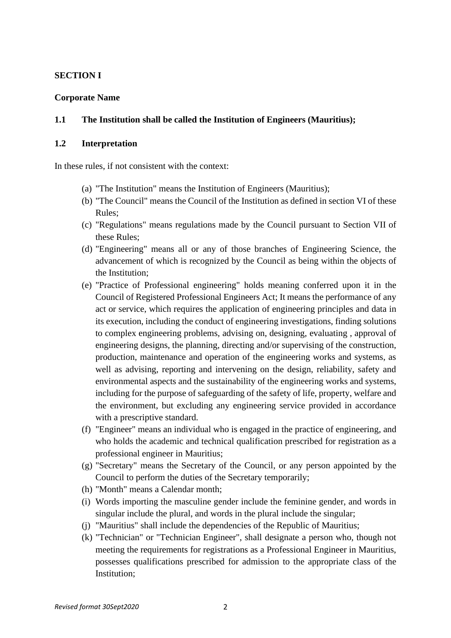# **SECTION I**

# **Corporate Name**

# **1.1 The Institution shall be called the Institution of Engineers (Mauritius);**

# **1.2 Interpretation**

In these rules, if not consistent with the context:

- (a) "The Institution" means the Institution of Engineers (Mauritius);
- (b) "The Council" means the Council of the Institution as defined in section VI of these Rules;
- (c) "Regulations" means regulations made by the Council pursuant to Section VII of these Rules;
- (d) "Engineering" means all or any of those branches of Engineering Science, the advancement of which is recognized by the Council as being within the objects of the Institution;
- (e) "Practice of Professional engineering" holds meaning conferred upon it in the Council of Registered Professional Engineers Act; It means the performance of any act or service, which requires the application of engineering principles and data in its execution, including the conduct of engineering investigations, finding solutions to complex engineering problems, advising on, designing, evaluating , approval of engineering designs, the planning, directing and/or supervising of the construction, production, maintenance and operation of the engineering works and systems, as well as advising, reporting and intervening on the design, reliability, safety and environmental aspects and the sustainability of the engineering works and systems, including for the purpose of safeguarding of the safety of life, property, welfare and the environment, but excluding any engineering service provided in accordance with a prescriptive standard.
- (f) "Engineer" means an individual who is engaged in the practice of engineering, and who holds the academic and technical qualification prescribed for registration as a professional engineer in Mauritius;
- (g) "Secretary" means the Secretary of the Council, or any person appointed by the Council to perform the duties of the Secretary temporarily;
- (h) "Month" means a Calendar month;
- (i) Words importing the masculine gender include the feminine gender, and words in singular include the plural, and words in the plural include the singular;
- (j) "Mauritius" shall include the dependencies of the Republic of Mauritius;
- (k) "Technician" or "Technician Engineer", shall designate a person who, though not meeting the requirements for registrations as a Professional Engineer in Mauritius, possesses qualifications prescribed for admission to the appropriate class of the Institution;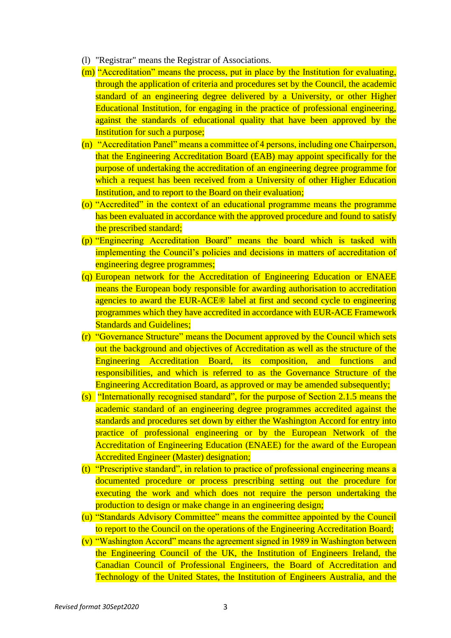- (l) "Registrar" means the Registrar of Associations.
- (m) "Accreditation" means the process, put in place by the Institution for evaluating, through the application of criteria and procedures set by the Council, the academic standard of an engineering degree delivered by a University, or other Higher Educational Institution, for engaging in the practice of professional engineering, against the standards of educational quality that have been approved by the Institution for such a purpose;
- (n) "Accreditation Panel" means a committee of 4 persons, including one Chairperson, that the Engineering Accreditation Board (EAB) may appoint specifically for the purpose of undertaking the accreditation of an engineering degree programme for which a request has been received from a University of other Higher Education Institution, and to report to the Board on their evaluation;
- (o) "Accredited" in the context of an educational programme means the programme has been evaluated in accordance with the approved procedure and found to satisfy the prescribed standard;
- (p) "Engineering Accreditation Board" means the board which is tasked with implementing the Council's policies and decisions in matters of accreditation of engineering degree programmes;
- (q) European network for the Accreditation of Engineering Education or ENAEE means the European body responsible for awarding authorisation to accreditation agencies to award the EUR-ACE® label at first and second cycle to engineering programmes which they have accredited in accordance with EUR-ACE Framework **Standards and Guidelines;**
- (r) "Governance Structure" means the Document approved by the Council which sets out the background and objectives of Accreditation as well as the structure of the Engineering Accreditation Board, its composition, and functions and responsibilities, and which is referred to as the Governance Structure of the Engineering Accreditation Board, as approved or may be amended subsequently;
- (s) "Internationally recognised standard", for the purpose of Section 2.1.5 means the academic standard of an engineering degree programmes accredited against the standards and procedures set down by either the Washington Accord for entry into practice of professional engineering or by the European Network of the Accreditation of Engineering Education (ENAEE) for the award of the European Accredited Engineer (Master) designation;
- (t) "Prescriptive standard", in relation to practice of professional engineering means a documented procedure or process prescribing setting out the procedure for executing the work and which does not require the person undertaking the production to design or make change in an engineering design;
- (u) "Standards Advisory Committee" means the committee appointed by the Council to report to the Council on the operations of the Engineering Accreditation Board;
- (v) "Washington Accord" means the agreement signed in 1989 in Washington between the Engineering Council of the UK, the Institution of Engineers Ireland, the Canadian Council of Professional Engineers, the Board of Accreditation and Technology of the United States, the Institution of Engineers Australia, and the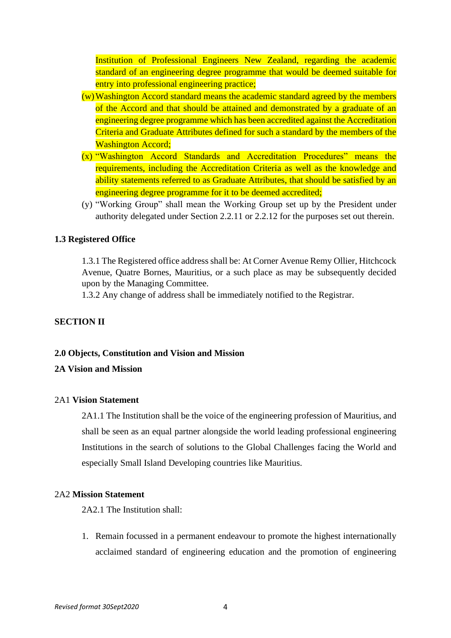Institution of Professional Engineers New Zealand, regarding the academic standard of an engineering degree programme that would be deemed suitable for entry into professional engineering practice;

- $(w)$ Washington Accord standard means the academic standard agreed by the members of the Accord and that should be attained and demonstrated by a graduate of an engineering degree programme which has been accredited against the Accreditation Criteria and Graduate Attributes defined for such a standard by the members of the Washington Accord;
- (x) "Washington Accord Standards and Accreditation Procedures" means the requirements, including the Accreditation Criteria as well as the knowledge and ability statements referred to as Graduate Attributes, that should be satisfied by an engineering degree programme for it to be deemed accredited;
- (y) "Working Group" shall mean the Working Group set up by the President under authority delegated under Section 2.2.11 or 2.2.12 for the purposes set out therein.

# **1.3 Registered Office**

1.3.1 The Registered office address shall be: At Corner Avenue Remy Ollier, Hitchcock Avenue, Quatre Bornes, Mauritius, or a such place as may be subsequently decided upon by the Managing Committee.

1.3.2 Any change of address shall be immediately notified to the Registrar.

# **SECTION II**

#### **2.0 Objects, Constitution and Vision and Mission**

# **2A Vision and Mission**

#### 2A1 **Vision Statement**

2A1.1 The Institution shall be the voice of the engineering profession of Mauritius, and shall be seen as an equal partner alongside the world leading professional engineering Institutions in the search of solutions to the Global Challenges facing the World and especially Small Island Developing countries like Mauritius.

# 2A2 **Mission Statement**

2A2.1 The Institution shall:

1. Remain focussed in a permanent endeavour to promote the highest internationally acclaimed standard of engineering education and the promotion of engineering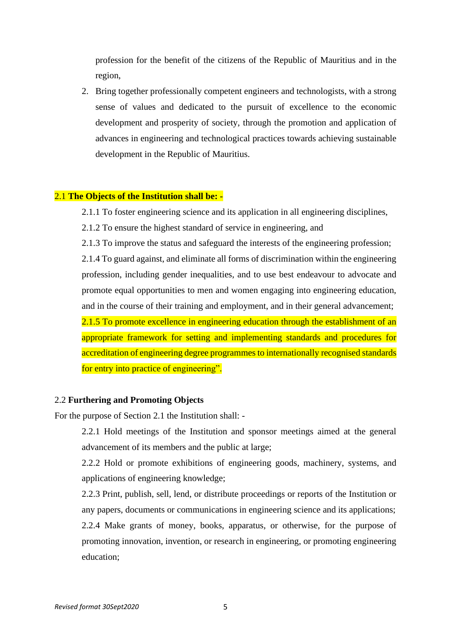profession for the benefit of the citizens of the Republic of Mauritius and in the region,

2. Bring together professionally competent engineers and technologists, with a strong sense of values and dedicated to the pursuit of excellence to the economic development and prosperity of society, through the promotion and application of advances in engineering and technological practices towards achieving sustainable development in the Republic of Mauritius.

# 2.1 **The Objects of the Institution shall be: -**

2.1.1 To foster engineering science and its application in all engineering disciplines,

2.1.2 To ensure the highest standard of service in engineering, and

2.1.3 To improve the status and safeguard the interests of the engineering profession;

2.1.4 To guard against, and eliminate all forms of discrimination within the engineering profession, including gender inequalities, and to use best endeavour to advocate and promote equal opportunities to men and women engaging into engineering education, and in the course of their training and employment, and in their general advancement; 2.1.5 To promote excellence in engineering education through the establishment of an appropriate framework for setting and implementing standards and procedures for accreditation of engineering degree programmes to internationally recognised standards for entry into practice of engineering".

#### 2.2 **Furthering and Promoting Objects**

For the purpose of Section 2.1 the Institution shall: -

2.2.1 Hold meetings of the Institution and sponsor meetings aimed at the general advancement of its members and the public at large;

2.2.2 Hold or promote exhibitions of engineering goods, machinery, systems, and applications of engineering knowledge;

2.2.3 Print, publish, sell, lend, or distribute proceedings or reports of the Institution or any papers, documents or communications in engineering science and its applications; 2.2.4 Make grants of money, books, apparatus, or otherwise, for the purpose of promoting innovation, invention, or research in engineering, or promoting engineering education;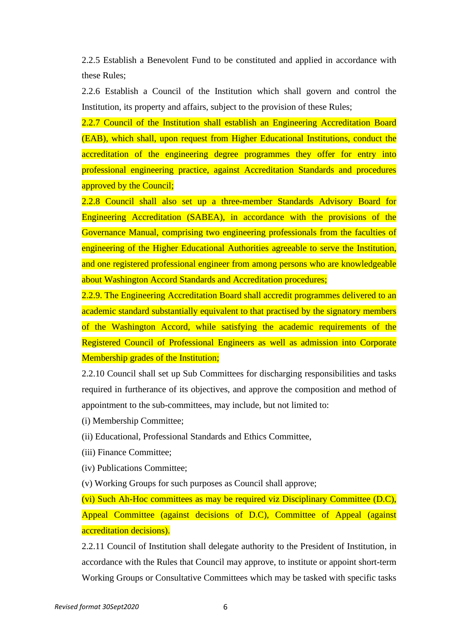2.2.5 Establish a Benevolent Fund to be constituted and applied in accordance with these Rules;

2.2.6 Establish a Council of the Institution which shall govern and control the Institution, its property and affairs, subject to the provision of these Rules;

2.2.7 Council of the Institution shall establish an Engineering Accreditation Board (EAB), which shall, upon request from Higher Educational Institutions, conduct the accreditation of the engineering degree programmes they offer for entry into professional engineering practice, against Accreditation Standards and procedures approved by the Council;

2.2.8 Council shall also set up a three-member Standards Advisory Board for Engineering Accreditation (SABEA), in accordance with the provisions of the Governance Manual, comprising two engineering professionals from the faculties of engineering of the Higher Educational Authorities agreeable to serve the Institution, and one registered professional engineer from among persons who are knowledgeable about Washington Accord Standards and Accreditation procedures;

2.2.9. The Engineering Accreditation Board shall accredit programmes delivered to an academic standard substantially equivalent to that practised by the signatory members of the Washington Accord, while satisfying the academic requirements of the Registered Council of Professional Engineers as well as admission into Corporate Membership grades of the Institution;

2.2.10 Council shall set up Sub Committees for discharging responsibilities and tasks required in furtherance of its objectives, and approve the composition and method of appointment to the sub-committees, may include, but not limited to:

- (i) Membership Committee;
- (ii) Educational, Professional Standards and Ethics Committee,
- (iii) Finance Committee;
- (iv) Publications Committee;

(v) Working Groups for such purposes as Council shall approve;

(vi) Such Ah-Hoc committees as may be required viz Disciplinary Committee (D.C), Appeal Committee (against decisions of D.C), Committee of Appeal (against accreditation decisions).

2.2.11 Council of Institution shall delegate authority to the President of Institution, in accordance with the Rules that Council may approve, to institute or appoint short-term Working Groups or Consultative Committees which may be tasked with specific tasks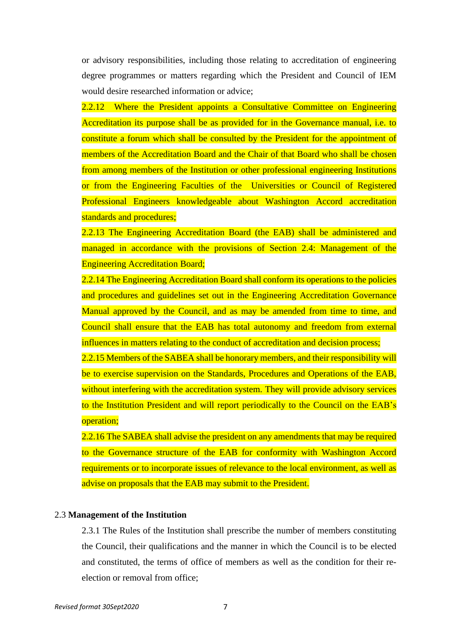or advisory responsibilities, including those relating to accreditation of engineering degree programmes or matters regarding which the President and Council of IEM would desire researched information or advice;

2.2.12 Where the President appoints a Consultative Committee on Engineering Accreditation its purpose shall be as provided for in the Governance manual, i.e. to constitute a forum which shall be consulted by the President for the appointment of members of the Accreditation Board and the Chair of that Board who shall be chosen from among members of the Institution or other professional engineering Institutions or from the Engineering Faculties of the Universities or Council of Registered Professional Engineers knowledgeable about Washington Accord accreditation standards and procedures;

2.2.13 The Engineering Accreditation Board (the EAB) shall be administered and managed in accordance with the provisions of Section 2.4: Management of the Engineering Accreditation Board;

2.2.14 The Engineering Accreditation Board shall conform its operations to the policies and procedures and guidelines set out in the Engineering Accreditation Governance Manual approved by the Council, and as may be amended from time to time, and Council shall ensure that the EAB has total autonomy and freedom from external influences in matters relating to the conduct of accreditation and decision process;

2.2.15 Members of the SABEA shall be honorary members, and their responsibility will be to exercise supervision on the Standards, Procedures and Operations of the EAB, without interfering with the accreditation system. They will provide advisory services to the Institution President and will report periodically to the Council on the EAB's operation;

2.2.16 The SABEA shall advise the president on any amendments that may be required to the Governance structure of the EAB for conformity with Washington Accord requirements or to incorporate issues of relevance to the local environment, as well as advise on proposals that the EAB may submit to the President.

#### 2.3 **Management of the Institution**

2.3.1 The Rules of the Institution shall prescribe the number of members constituting the Council, their qualifications and the manner in which the Council is to be elected and constituted, the terms of office of members as well as the condition for their reelection or removal from office;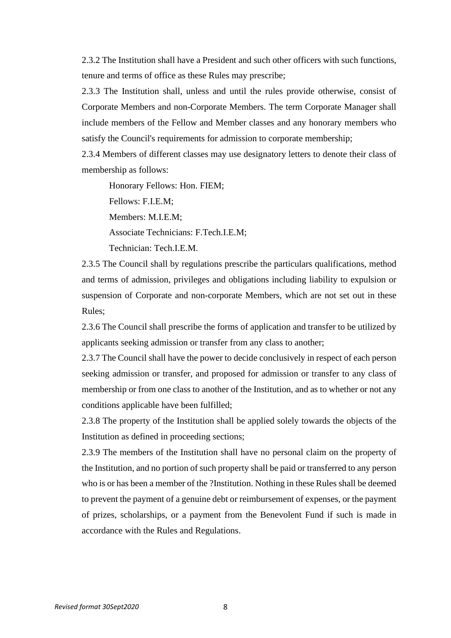2.3.2 The Institution shall have a President and such other officers with such functions, tenure and terms of office as these Rules may prescribe;

2.3.3 The Institution shall, unless and until the rules provide otherwise, consist of Corporate Members and non-Corporate Members. The term Corporate Manager shall include members of the Fellow and Member classes and any honorary members who satisfy the Council's requirements for admission to corporate membership;

2.3.4 Members of different classes may use designatory letters to denote their class of membership as follows:

Honorary Fellows: Hon. FIEM;

Fellows: F.I.E.M;

Members: M.I.E.M;

Associate Technicians: F.Tech.I.E.M;

Technician: Tech.I.E.M.

2.3.5 The Council shall by regulations prescribe the particulars qualifications, method and terms of admission, privileges and obligations including liability to expulsion or suspension of Corporate and non-corporate Members, which are not set out in these Rules;

2.3.6 The Council shall prescribe the forms of application and transfer to be utilized by applicants seeking admission or transfer from any class to another;

2.3.7 The Council shall have the power to decide conclusively in respect of each person seeking admission or transfer, and proposed for admission or transfer to any class of membership or from one class to another of the Institution, and as to whether or not any conditions applicable have been fulfilled;

2.3.8 The property of the Institution shall be applied solely towards the objects of the Institution as defined in proceeding sections;

2.3.9 The members of the Institution shall have no personal claim on the property of the Institution, and no portion of such property shall be paid or transferred to any person who is or has been a member of the ?Institution. Nothing in these Rules shall be deemed to prevent the payment of a genuine debt or reimbursement of expenses, or the payment of prizes, scholarships, or a payment from the Benevolent Fund if such is made in accordance with the Rules and Regulations.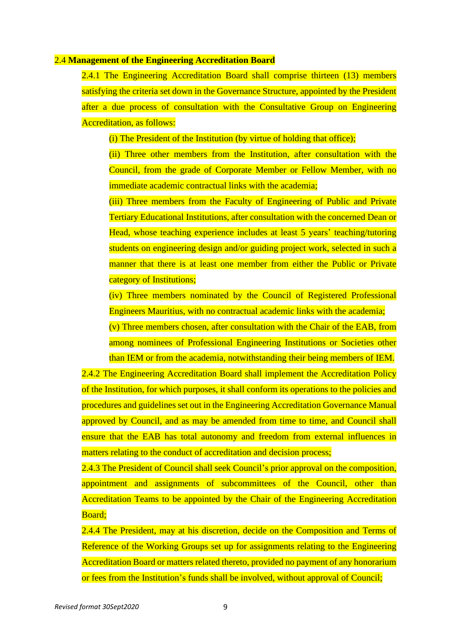#### 2.4 **Management of the Engineering Accreditation Board**

2.4.1 The Engineering Accreditation Board shall comprise thirteen (13) members satisfying the criteria set down in the Governance Structure, appointed by the President after a due process of consultation with the Consultative Group on Engineering Accreditation, as follows:

(i) The President of the Institution (by virtue of holding that office);

(ii) Three other members from the Institution, after consultation with the Council, from the grade of Corporate Member or Fellow Member, with no immediate academic contractual links with the academia;

(iii) Three members from the Faculty of Engineering of Public and Private Tertiary Educational Institutions, after consultation with the concerned Dean or Head, whose teaching experience includes at least 5 years' teaching/tutoring students on engineering design and/or guiding project work, selected in such a manner that there is at least one member from either the Public or Private category of Institutions;

(iv) Three members nominated by the Council of Registered Professional Engineers Mauritius, with no contractual academic links with the academia;

(v) Three members chosen, after consultation with the Chair of the EAB, from among nominees of Professional Engineering Institutions or Societies other than IEM or from the academia, notwithstanding their being members of IEM.

2.4.2 The Engineering Accreditation Board shall implement the Accreditation Policy of the Institution, for which purposes, it shall conform its operations to the policies and procedures and guidelines set out in the Engineering Accreditation Governance Manual approved by Council, and as may be amended from time to time, and Council shall ensure that the EAB has total autonomy and freedom from external influences in matters relating to the conduct of accreditation and decision process;

2.4.3 The President of Council shall seek Council's prior approval on the composition, appointment and assignments of subcommittees of the Council, other than Accreditation Teams to be appointed by the Chair of the Engineering Accreditation Board;

2.4.4 The President, may at his discretion, decide on the Composition and Terms of Reference of the Working Groups set up for assignments relating to the Engineering Accreditation Board or matters related thereto, provided no payment of any honorarium or fees from the Institution's funds shall be involved, without approval of Council;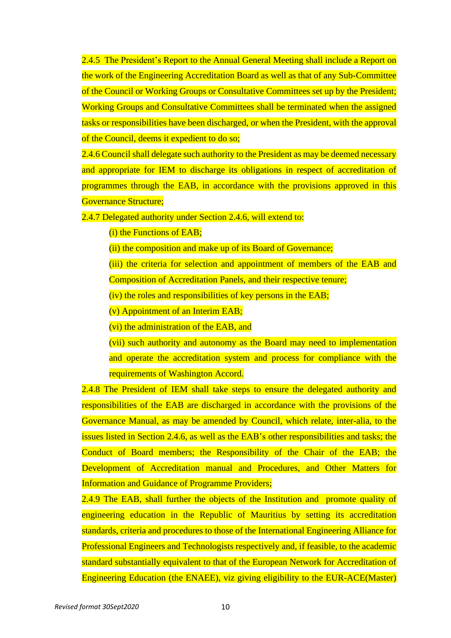2.4.5 The President's Report to the Annual General Meeting shall include a Report on the work of the Engineering Accreditation Board as well as that of any Sub-Committee of the Council or Working Groups or Consultative Committees set up by the President; Working Groups and Consultative Committees shall be terminated when the assigned tasks or responsibilities have been discharged, or when the President, with the approval of the Council, deems it expedient to do so;

2.4.6 Council shall delegate such authority to the President as may be deemed necessary and appropriate for IEM to discharge its obligations in respect of accreditation of programmes through the EAB, in accordance with the provisions approved in this Governance Structure;

2.4.7 Delegated authority under Section 2.4.6, will extend to:

(i) the Functions of EAB;

(ii) the composition and make up of its Board of Governance;

(iii) the criteria for selection and appointment of members of the EAB and

Composition of Accreditation Panels, and their respective tenure;

(iv) the roles and responsibilities of key persons in the EAB;

(v) Appointment of an Interim EAB;

(vi) the administration of the EAB, and

(vii) such authority and autonomy as the Board may need to implementation and operate the accreditation system and process for compliance with the requirements of Washington Accord.

2.4.8 The President of IEM shall take steps to ensure the delegated authority and responsibilities of the EAB are discharged in accordance with the provisions of the Governance Manual, as may be amended by Council, which relate, inter-alia, to the issues listed in Section 2.4.6, as well as the EAB's other responsibilities and tasks; the Conduct of Board members; the Responsibility of the Chair of the EAB; the Development of Accreditation manual and Procedures, and Other Matters for Information and Guidance of Programme Providers;

2.4.9 The EAB, shall further the objects of the Institution and promote quality of engineering education in the Republic of Mauritius by setting its accreditation standards, criteria and procedures to those of the International Engineering Alliance for Professional Engineers and Technologists respectively and, if feasible, to the academic standard substantially equivalent to that of the European Network for Accreditation of Engineering Education (the ENAEE), viz giving eligibility to the EUR-ACE(Master)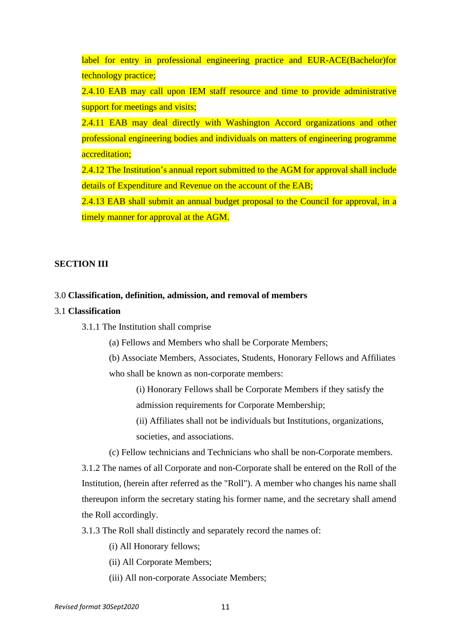label for entry in professional engineering practice and EUR-ACE(Bachelor)for technology practice;

2.4.10 EAB may call upon IEM staff resource and time to provide administrative support for meetings and visits;

2.4.11 EAB may deal directly with Washington Accord organizations and other professional engineering bodies and individuals on matters of engineering programme accreditation;

2.4.12 The Institution's annual report submitted to the AGM for approval shall include details of Expenditure and Revenue on the account of the EAB;

2.4.13 EAB shall submit an annual budget proposal to the Council for approval, in a timely manner for approval at the AGM.

#### **SECTION III**

#### 3.0 **Classification, definition, admission, and removal of members**

# 3.1 **Classification**

3.1.1 The Institution shall comprise

(a) Fellows and Members who shall be Corporate Members;

(b) Associate Members, Associates, Students, Honorary Fellows and Affiliates who shall be known as non-corporate members:

(i) Honorary Fellows shall be Corporate Members if they satisfy the admission requirements for Corporate Membership;

(ii) Affiliates shall not be individuals but Institutions, organizations,

societies, and associations.

(c) Fellow technicians and Technicians who shall be non-Corporate members.

3.1.2 The names of all Corporate and non-Corporate shall be entered on the Roll of the Institution, (herein after referred as the "Roll"). A member who changes his name shall thereupon inform the secretary stating his former name, and the secretary shall amend the Roll accordingly.

3.1.3 The Roll shall distinctly and separately record the names of:

(i) All Honorary fellows;

(ii) All Corporate Members;

(iii) All non-corporate Associate Members;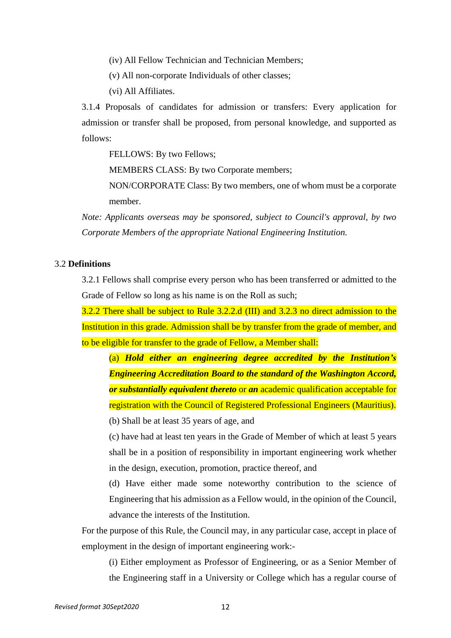(iv) All Fellow Technician and Technician Members;

(v) All non-corporate Individuals of other classes;

(vi) All Affiliates.

3.1.4 Proposals of candidates for admission or transfers: Every application for admission or transfer shall be proposed, from personal knowledge, and supported as follows:

FELLOWS: By two Fellows;

MEMBERS CLASS: By two Corporate members;

NON/CORPORATE Class: By two members, one of whom must be a corporate member.

*Note: Applicants overseas may be sponsored, subject to Council's approval, by two Corporate Members of the appropriate National Engineering Institution.*

# 3.2 **Definitions**

3.2.1 Fellows shall comprise every person who has been transferred or admitted to the Grade of Fellow so long as his name is on the Roll as such;

3.2.2 There shall be subject to Rule 3.2.2.d (III) and 3.2.3 no direct admission to the Institution in this grade. Admission shall be by transfer from the grade of member, and to be eligible for transfer to the grade of Fellow, a Member shall:

(a) *Hold either an engineering degree accredited by the Institution's Engineering Accreditation Board to the standard of the Washington Accord, or substantially equivalent thereto* or *an* academic qualification acceptable for registration with the Council of Registered Professional Engineers (Mauritius).

(b) Shall be at least 35 years of age, and

(c) have had at least ten years in the Grade of Member of which at least 5 years shall be in a position of responsibility in important engineering work whether in the design, execution, promotion, practice thereof, and

(d) Have either made some noteworthy contribution to the science of Engineering that his admission as a Fellow would, in the opinion of the Council, advance the interests of the Institution.

For the purpose of this Rule, the Council may, in any particular case, accept in place of employment in the design of important engineering work:-

(i) Either employment as Professor of Engineering, or as a Senior Member of the Engineering staff in a University or College which has a regular course of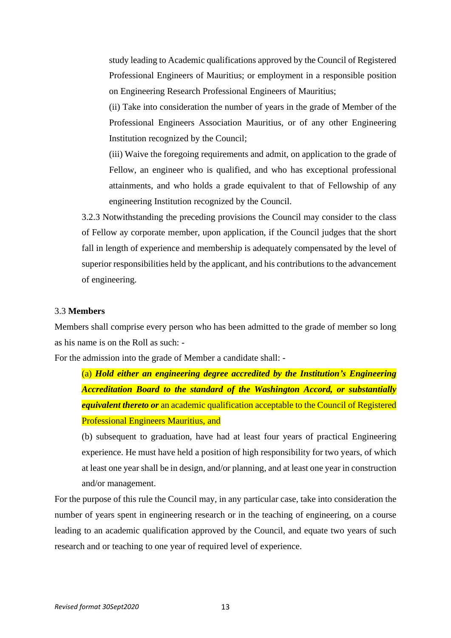study leading to Academic qualifications approved by the Council of Registered Professional Engineers of Mauritius; or employment in a responsible position on Engineering Research Professional Engineers of Mauritius;

(ii) Take into consideration the number of years in the grade of Member of the Professional Engineers Association Mauritius, or of any other Engineering Institution recognized by the Council;

(iii) Waive the foregoing requirements and admit, on application to the grade of Fellow, an engineer who is qualified, and who has exceptional professional attainments, and who holds a grade equivalent to that of Fellowship of any engineering Institution recognized by the Council.

3.2.3 Notwithstanding the preceding provisions the Council may consider to the class of Fellow ay corporate member, upon application, if the Council judges that the short fall in length of experience and membership is adequately compensated by the level of superior responsibilities held by the applicant, and his contributions to the advancement of engineering.

# 3.3 **Members**

Members shall comprise every person who has been admitted to the grade of member so long as his name is on the Roll as such: -

For the admission into the grade of Member a candidate shall: -

(a) *Hold either an engineering degree accredited by the Institution's Engineering Accreditation Board to the standard of the Washington Accord, or substantially equivalent thereto or* an academic qualification acceptable to the Council of Registered Professional Engineers Mauritius, and

(b) subsequent to graduation, have had at least four years of practical Engineering experience. He must have held a position of high responsibility for two years, of which at least one year shall be in design, and/or planning, and at least one year in construction and/or management.

For the purpose of this rule the Council may, in any particular case, take into consideration the number of years spent in engineering research or in the teaching of engineering, on a course leading to an academic qualification approved by the Council, and equate two years of such research and or teaching to one year of required level of experience.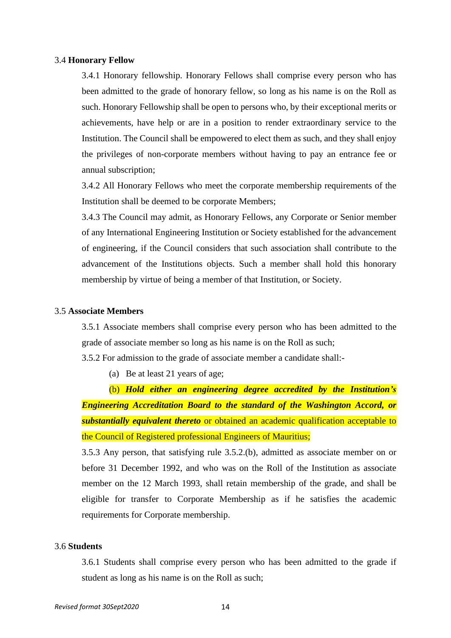#### 3.4 **Honorary Fellow**

3.4.1 Honorary fellowship. Honorary Fellows shall comprise every person who has been admitted to the grade of honorary fellow, so long as his name is on the Roll as such. Honorary Fellowship shall be open to persons who, by their exceptional merits or achievements, have help or are in a position to render extraordinary service to the Institution. The Council shall be empowered to elect them as such, and they shall enjoy the privileges of non-corporate members without having to pay an entrance fee or annual subscription;

3.4.2 All Honorary Fellows who meet the corporate membership requirements of the Institution shall be deemed to be corporate Members;

3.4.3 The Council may admit, as Honorary Fellows, any Corporate or Senior member of any International Engineering Institution or Society established for the advancement of engineering, if the Council considers that such association shall contribute to the advancement of the Institutions objects. Such a member shall hold this honorary membership by virtue of being a member of that Institution, or Society.

#### 3.5 **Associate Members**

3.5.1 Associate members shall comprise every person who has been admitted to the grade of associate member so long as his name is on the Roll as such;

3.5.2 For admission to the grade of associate member a candidate shall:-

(a) Be at least 21 years of age;

(b) *Hold either an engineering degree accredited by the Institution's Engineering Accreditation Board to the standard of the Washington Accord, or substantially equivalent thereto* or obtained an academic qualification acceptable to the Council of Registered professional Engineers of Mauritius;

3.5.3 Any person, that satisfying rule 3.5.2.(b), admitted as associate member on or before 31 December 1992, and who was on the Roll of the Institution as associate member on the 12 March 1993, shall retain membership of the grade, and shall be eligible for transfer to Corporate Membership as if he satisfies the academic requirements for Corporate membership.

#### 3.6 **Students**

3.6.1 Students shall comprise every person who has been admitted to the grade if student as long as his name is on the Roll as such;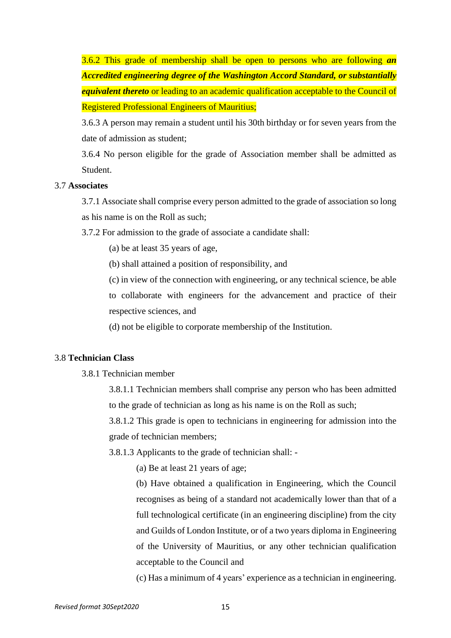3.6.2 This grade of membership shall be open to persons who are following *an Accredited engineering degree of the Washington Accord Standard, or substantially equivalent thereto* or leading to an academic qualification acceptable to the Council of Registered Professional Engineers of Mauritius;

3.6.3 A person may remain a student until his 30th birthday or for seven years from the date of admission as student;

3.6.4 No person eligible for the grade of Association member shall be admitted as Student.

#### 3.7 **Associates**

3.7.1 Associate shall comprise every person admitted to the grade of association so long as his name is on the Roll as such;

3.7.2 For admission to the grade of associate a candidate shall:

(a) be at least 35 years of age,

(b) shall attained a position of responsibility, and

(c) in view of the connection with engineering, or any technical science, be able to collaborate with engineers for the advancement and practice of their respective sciences, and

(d) not be eligible to corporate membership of the Institution.

# 3.8 **Technician Class**

3.8.1 Technician member

3.8.1.1 Technician members shall comprise any person who has been admitted to the grade of technician as long as his name is on the Roll as such;

3.8.1.2 This grade is open to technicians in engineering for admission into the grade of technician members;

3.8.1.3 Applicants to the grade of technician shall: -

(a) Be at least 21 years of age;

(b) Have obtained a qualification in Engineering, which the Council recognises as being of a standard not academically lower than that of a full technological certificate (in an engineering discipline) from the city and Guilds of London Institute, or of a two years diploma in Engineering of the University of Mauritius, or any other technician qualification acceptable to the Council and

(c) Has a minimum of 4 years' experience as a technician in engineering.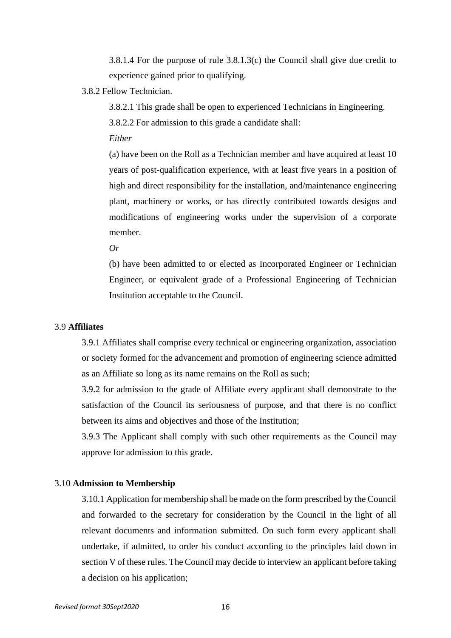3.8.1.4 For the purpose of rule 3.8.1.3(c) the Council shall give due credit to experience gained prior to qualifying.

3.8.2 Fellow Technician.

3.8.2.1 This grade shall be open to experienced Technicians in Engineering.

3.8.2.2 For admission to this grade a candidate shall:

*Either*

(a) have been on the Roll as a Technician member and have acquired at least 10 years of post-qualification experience, with at least five years in a position of high and direct responsibility for the installation, and/maintenance engineering plant, machinery or works, or has directly contributed towards designs and modifications of engineering works under the supervision of a corporate member.

*Or*

(b) have been admitted to or elected as Incorporated Engineer or Technician Engineer, or equivalent grade of a Professional Engineering of Technician Institution acceptable to the Council.

# 3.9 **Affiliates**

3.9.1 Affiliates shall comprise every technical or engineering organization, association or society formed for the advancement and promotion of engineering science admitted as an Affiliate so long as its name remains on the Roll as such;

3.9.2 for admission to the grade of Affiliate every applicant shall demonstrate to the satisfaction of the Council its seriousness of purpose, and that there is no conflict between its aims and objectives and those of the Institution;

3.9.3 The Applicant shall comply with such other requirements as the Council may approve for admission to this grade.

#### 3.10 **Admission to Membership**

3.10.1 Application for membership shall be made on the form prescribed by the Council and forwarded to the secretary for consideration by the Council in the light of all relevant documents and information submitted. On such form every applicant shall undertake, if admitted, to order his conduct according to the principles laid down in section V of these rules. The Council may decide to interview an applicant before taking a decision on his application;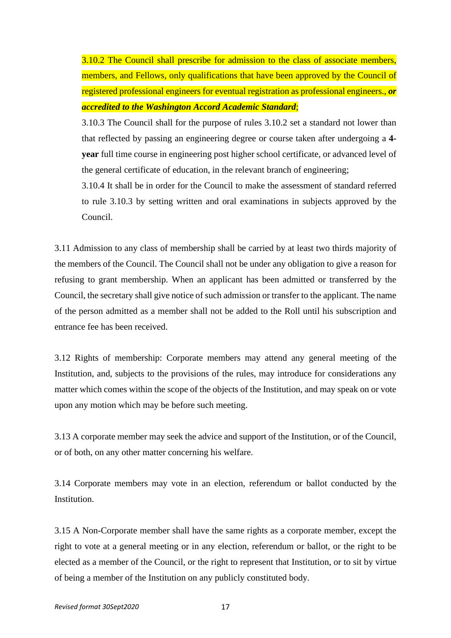3.10.2 The Council shall prescribe for admission to the class of associate members, members, and Fellows, only qualifications that have been approved by the Council of registered professional engineers for eventual registration as professional engineers., *or accredited to the Washington Accord Academic Standard*;

3.10.3 The Council shall for the purpose of rules 3.10.2 set a standard not lower than that reflected by passing an engineering degree or course taken after undergoing a **4 year** full time course in engineering post higher school certificate, or advanced level of the general certificate of education, in the relevant branch of engineering;

3.10.4 It shall be in order for the Council to make the assessment of standard referred to rule 3.10.3 by setting written and oral examinations in subjects approved by the Council.

3.11 Admission to any class of membership shall be carried by at least two thirds majority of the members of the Council. The Council shall not be under any obligation to give a reason for refusing to grant membership. When an applicant has been admitted or transferred by the Council, the secretary shall give notice of such admission or transfer to the applicant. The name of the person admitted as a member shall not be added to the Roll until his subscription and entrance fee has been received.

3.12 Rights of membership: Corporate members may attend any general meeting of the Institution, and, subjects to the provisions of the rules, may introduce for considerations any matter which comes within the scope of the objects of the Institution, and may speak on or vote upon any motion which may be before such meeting.

3.13 A corporate member may seek the advice and support of the Institution, or of the Council, or of both, on any other matter concerning his welfare.

3.14 Corporate members may vote in an election, referendum or ballot conducted by the Institution.

3.15 A Non-Corporate member shall have the same rights as a corporate member, except the right to vote at a general meeting or in any election, referendum or ballot, or the right to be elected as a member of the Council, or the right to represent that Institution, or to sit by virtue of being a member of the Institution on any publicly constituted body.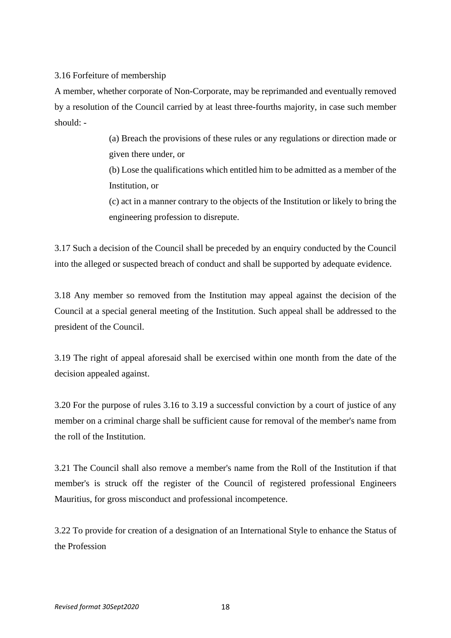# 3.16 Forfeiture of membership

A member, whether corporate of Non-Corporate, may be reprimanded and eventually removed by a resolution of the Council carried by at least three-fourths majority, in case such member should: -

> (a) Breach the provisions of these rules or any regulations or direction made or given there under, or

> (b) Lose the qualifications which entitled him to be admitted as a member of the Institution, or

> (c) act in a manner contrary to the objects of the Institution or likely to bring the engineering profession to disrepute.

3.17 Such a decision of the Council shall be preceded by an enquiry conducted by the Council into the alleged or suspected breach of conduct and shall be supported by adequate evidence.

3.18 Any member so removed from the Institution may appeal against the decision of the Council at a special general meeting of the Institution. Such appeal shall be addressed to the president of the Council.

3.19 The right of appeal aforesaid shall be exercised within one month from the date of the decision appealed against.

3.20 For the purpose of rules 3.16 to 3.19 a successful conviction by a court of justice of any member on a criminal charge shall be sufficient cause for removal of the member's name from the roll of the Institution.

3.21 The Council shall also remove a member's name from the Roll of the Institution if that member's is struck off the register of the Council of registered professional Engineers Mauritius, for gross misconduct and professional incompetence.

3.22 To provide for creation of a designation of an International Style to enhance the Status of the Profession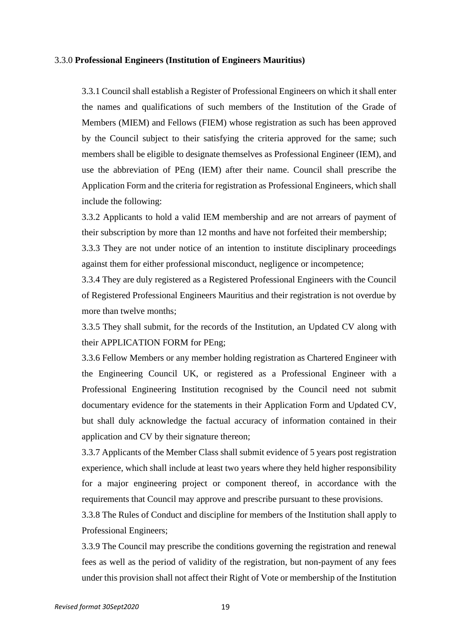#### 3.3.0 **Professional Engineers (Institution of Engineers Mauritius)**

3.3.1 Council shall establish a Register of Professional Engineers on which it shall enter the names and qualifications of such members of the Institution of the Grade of Members (MIEM) and Fellows (FIEM) whose registration as such has been approved by the Council subject to their satisfying the criteria approved for the same; such members shall be eligible to designate themselves as Professional Engineer (IEM), and use the abbreviation of PEng (IEM) after their name. Council shall prescribe the Application Form and the criteria for registration as Professional Engineers, which shall include the following:

3.3.2 Applicants to hold a valid IEM membership and are not arrears of payment of their subscription by more than 12 months and have not forfeited their membership;

3.3.3 They are not under notice of an intention to institute disciplinary proceedings against them for either professional misconduct, negligence or incompetence;

3.3.4 They are duly registered as a Registered Professional Engineers with the Council of Registered Professional Engineers Mauritius and their registration is not overdue by more than twelve months;

3.3.5 They shall submit, for the records of the Institution, an Updated CV along with their APPLICATION FORM for PEng;

3.3.6 Fellow Members or any member holding registration as Chartered Engineer with the Engineering Council UK, or registered as a Professional Engineer with a Professional Engineering Institution recognised by the Council need not submit documentary evidence for the statements in their Application Form and Updated CV, but shall duly acknowledge the factual accuracy of information contained in their application and CV by their signature thereon;

3.3.7 Applicants of the Member Class shall submit evidence of 5 years post registration experience, which shall include at least two years where they held higher responsibility for a major engineering project or component thereof, in accordance with the requirements that Council may approve and prescribe pursuant to these provisions.

3.3.8 The Rules of Conduct and discipline for members of the Institution shall apply to Professional Engineers;

3.3.9 The Council may prescribe the conditions governing the registration and renewal fees as well as the period of validity of the registration, but non-payment of any fees under this provision shall not affect their Right of Vote or membership of the Institution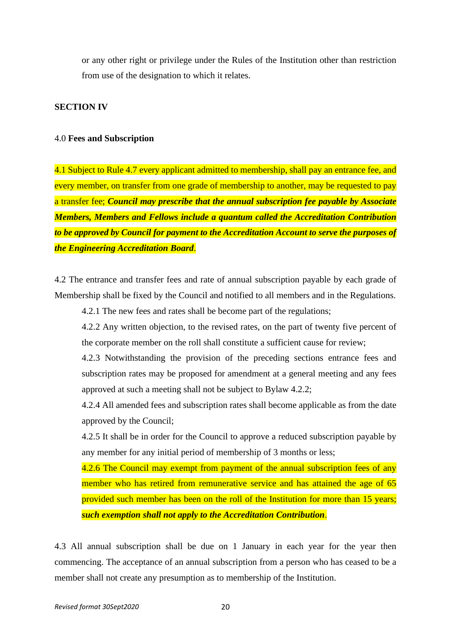or any other right or privilege under the Rules of the Institution other than restriction from use of the designation to which it relates.

# **SECTION IV**

#### 4.0 **Fees and Subscription**

4.1 Subject to Rule 4.7 every applicant admitted to membership, shall pay an entrance fee, and every member, on transfer from one grade of membership to another, may be requested to pay a transfer fee; *Council may prescribe that the annual subscription fee payable by Associate Members, Members and Fellows include a quantum called the Accreditation Contribution to be approved by Council for payment to the Accreditation Account to serve the purposes of the Engineering Accreditation Board*.

4.2 The entrance and transfer fees and rate of annual subscription payable by each grade of Membership shall be fixed by the Council and notified to all members and in the Regulations.

4.2.1 The new fees and rates shall be become part of the regulations;

4.2.2 Any written objection, to the revised rates, on the part of twenty five percent of the corporate member on the roll shall constitute a sufficient cause for review;

4.2.3 Notwithstanding the provision of the preceding sections entrance fees and subscription rates may be proposed for amendment at a general meeting and any fees approved at such a meeting shall not be subject to Bylaw 4.2.2;

4.2.4 All amended fees and subscription rates shall become applicable as from the date approved by the Council;

4.2.5 It shall be in order for the Council to approve a reduced subscription payable by any member for any initial period of membership of 3 months or less;

4.2.6 The Council may exempt from payment of the annual subscription fees of any member who has retired from remunerative service and has attained the age of 65 provided such member has been on the roll of the Institution for more than 15 years; *such exemption shall not apply to the Accreditation Contribution*.

4.3 All annual subscription shall be due on 1 January in each year for the year then commencing. The acceptance of an annual subscription from a person who has ceased to be a member shall not create any presumption as to membership of the Institution.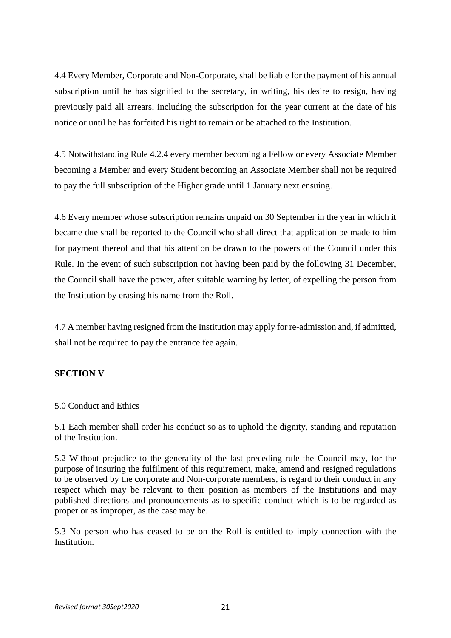4.4 Every Member, Corporate and Non-Corporate, shall be liable for the payment of his annual subscription until he has signified to the secretary, in writing, his desire to resign, having previously paid all arrears, including the subscription for the year current at the date of his notice or until he has forfeited his right to remain or be attached to the Institution.

4.5 Notwithstanding Rule 4.2.4 every member becoming a Fellow or every Associate Member becoming a Member and every Student becoming an Associate Member shall not be required to pay the full subscription of the Higher grade until 1 January next ensuing.

4.6 Every member whose subscription remains unpaid on 30 September in the year in which it became due shall be reported to the Council who shall direct that application be made to him for payment thereof and that his attention be drawn to the powers of the Council under this Rule. In the event of such subscription not having been paid by the following 31 December, the Council shall have the power, after suitable warning by letter, of expelling the person from the Institution by erasing his name from the Roll.

4.7 A member having resigned from the Institution may apply for re-admission and, if admitted, shall not be required to pay the entrance fee again.

# **SECTION V**

# 5.0 Conduct and Ethics

5.1 Each member shall order his conduct so as to uphold the dignity, standing and reputation of the Institution.

5.2 Without prejudice to the generality of the last preceding rule the Council may, for the purpose of insuring the fulfilment of this requirement, make, amend and resigned regulations to be observed by the corporate and Non-corporate members, is regard to their conduct in any respect which may be relevant to their position as members of the Institutions and may published directions and pronouncements as to specific conduct which is to be regarded as proper or as improper, as the case may be.

5.3 No person who has ceased to be on the Roll is entitled to imply connection with the Institution.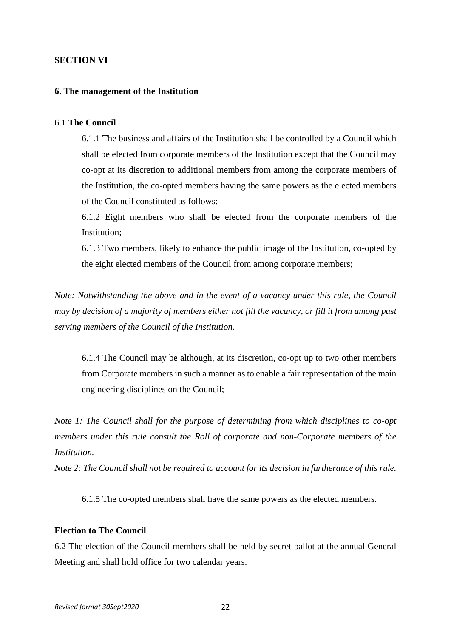# **SECTION VI**

## **6. The management of the Institution**

#### 6.1 **The Council**

6.1.1 The business and affairs of the Institution shall be controlled by a Council which shall be elected from corporate members of the Institution except that the Council may co-opt at its discretion to additional members from among the corporate members of the Institution, the co-opted members having the same powers as the elected members of the Council constituted as follows:

6.1.2 Eight members who shall be elected from the corporate members of the Institution;

6.1.3 Two members, likely to enhance the public image of the Institution, co-opted by the eight elected members of the Council from among corporate members;

*Note: Notwithstanding the above and in the event of a vacancy under this rule, the Council* may by decision of a majority of members either not fill the vacancy, or fill it from among past *serving members of the Council of the Institution.*

6.1.4 The Council may be although, at its discretion, co-opt up to two other members from Corporate members in such a manner as to enable a fair representation of the main engineering disciplines on the Council;

*Note 1: The Council shall for the purpose of determining from which disciplines to co-opt members under this rule consult the Roll of corporate and non-Corporate members of the Institution.*

*Note 2: The Council shall not be required to account for its decision in furtherance of this rule.*

6.1.5 The co-opted members shall have the same powers as the elected members.

# **Election to The Council**

6.2 The election of the Council members shall be held by secret ballot at the annual General Meeting and shall hold office for two calendar years.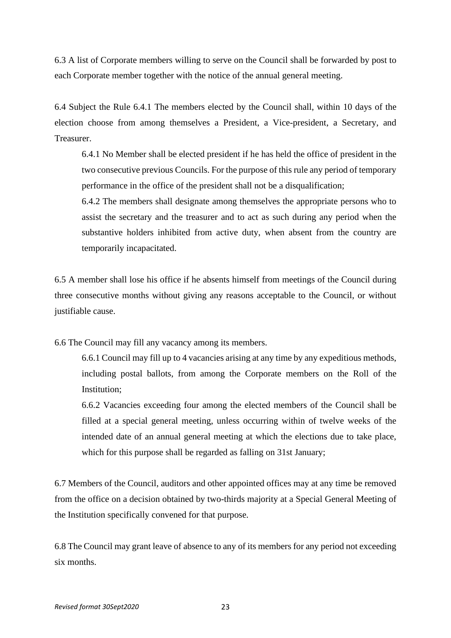6.3 A list of Corporate members willing to serve on the Council shall be forwarded by post to each Corporate member together with the notice of the annual general meeting.

6.4 Subject the Rule 6.4.1 The members elected by the Council shall, within 10 days of the election choose from among themselves a President, a Vice-president, a Secretary, and Treasurer.

6.4.1 No Member shall be elected president if he has held the office of president in the two consecutive previous Councils. For the purpose of this rule any period of temporary performance in the office of the president shall not be a disqualification;

6.4.2 The members shall designate among themselves the appropriate persons who to assist the secretary and the treasurer and to act as such during any period when the substantive holders inhibited from active duty, when absent from the country are temporarily incapacitated.

6.5 A member shall lose his office if he absents himself from meetings of the Council during three consecutive months without giving any reasons acceptable to the Council, or without justifiable cause.

6.6 The Council may fill any vacancy among its members.

6.6.1 Council may fill up to 4 vacancies arising at any time by any expeditious methods, including postal ballots, from among the Corporate members on the Roll of the Institution:

6.6.2 Vacancies exceeding four among the elected members of the Council shall be filled at a special general meeting, unless occurring within of twelve weeks of the intended date of an annual general meeting at which the elections due to take place, which for this purpose shall be regarded as falling on 31st January;

6.7 Members of the Council, auditors and other appointed offices may at any time be removed from the office on a decision obtained by two-thirds majority at a Special General Meeting of the Institution specifically convened for that purpose.

6.8 The Council may grant leave of absence to any of its members for any period not exceeding six months.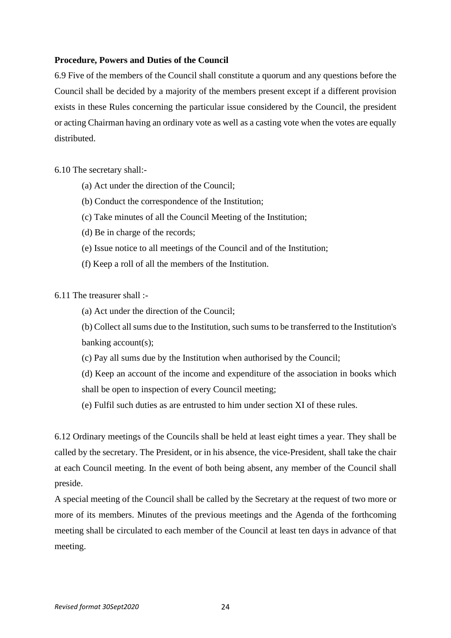# **Procedure, Powers and Duties of the Council**

6.9 Five of the members of the Council shall constitute a quorum and any questions before the Council shall be decided by a majority of the members present except if a different provision exists in these Rules concerning the particular issue considered by the Council, the president or acting Chairman having an ordinary vote as well as a casting vote when the votes are equally distributed.

6.10 The secretary shall:-

- (a) Act under the direction of the Council;
- (b) Conduct the correspondence of the Institution;
- (c) Take minutes of all the Council Meeting of the Institution;
- (d) Be in charge of the records;
- (e) Issue notice to all meetings of the Council and of the Institution;
- (f) Keep a roll of all the members of the Institution.

6.11 The treasurer shall :-

- (a) Act under the direction of the Council;
- (b) Collect all sums due to the Institution, such sums to be transferred to the Institution's banking account(s);
- (c) Pay all sums due by the Institution when authorised by the Council;
- (d) Keep an account of the income and expenditure of the association in books which shall be open to inspection of every Council meeting;
- (e) Fulfil such duties as are entrusted to him under section XI of these rules.

6.12 Ordinary meetings of the Councils shall be held at least eight times a year. They shall be called by the secretary. The President, or in his absence, the vice-President, shall take the chair at each Council meeting. In the event of both being absent, any member of the Council shall preside.

A special meeting of the Council shall be called by the Secretary at the request of two more or more of its members. Minutes of the previous meetings and the Agenda of the forthcoming meeting shall be circulated to each member of the Council at least ten days in advance of that meeting.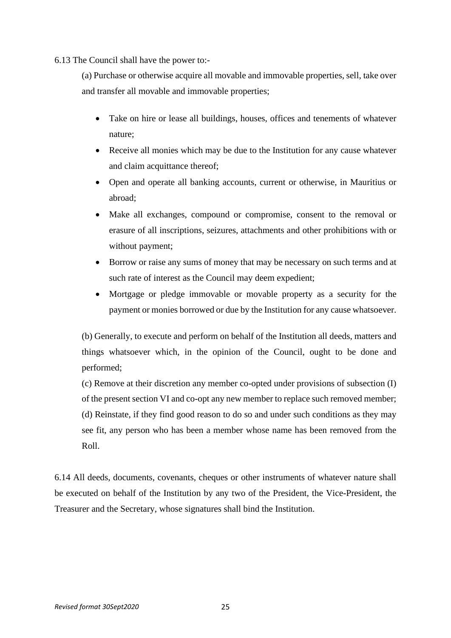6.13 The Council shall have the power to:-

(a) Purchase or otherwise acquire all movable and immovable properties, sell, take over and transfer all movable and immovable properties;

- Take on hire or lease all buildings, houses, offices and tenements of whatever nature;
- Receive all monies which may be due to the Institution for any cause whatever and claim acquittance thereof;
- Open and operate all banking accounts, current or otherwise, in Mauritius or abroad;
- Make all exchanges, compound or compromise, consent to the removal or erasure of all inscriptions, seizures, attachments and other prohibitions with or without payment;
- Borrow or raise any sums of money that may be necessary on such terms and at such rate of interest as the Council may deem expedient;
- Mortgage or pledge immovable or movable property as a security for the payment or monies borrowed or due by the Institution for any cause whatsoever.

(b) Generally, to execute and perform on behalf of the Institution all deeds, matters and things whatsoever which, in the opinion of the Council, ought to be done and performed;

(c) Remove at their discretion any member co-opted under provisions of subsection (I) of the present section VI and co-opt any new member to replace such removed member; (d) Reinstate, if they find good reason to do so and under such conditions as they may see fit, any person who has been a member whose name has been removed from the Roll.

6.14 All deeds, documents, covenants, cheques or other instruments of whatever nature shall be executed on behalf of the Institution by any two of the President, the Vice-President, the Treasurer and the Secretary, whose signatures shall bind the Institution.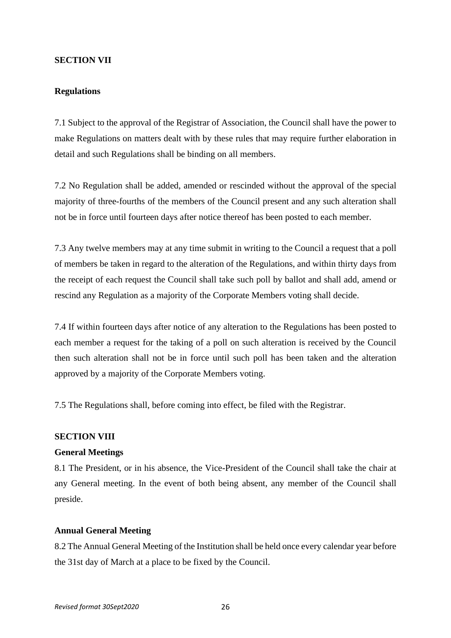#### **SECTION VII**

#### **Regulations**

7.1 Subject to the approval of the Registrar of Association, the Council shall have the power to make Regulations on matters dealt with by these rules that may require further elaboration in detail and such Regulations shall be binding on all members.

7.2 No Regulation shall be added, amended or rescinded without the approval of the special majority of three-fourths of the members of the Council present and any such alteration shall not be in force until fourteen days after notice thereof has been posted to each member.

7.3 Any twelve members may at any time submit in writing to the Council a request that a poll of members be taken in regard to the alteration of the Regulations, and within thirty days from the receipt of each request the Council shall take such poll by ballot and shall add, amend or rescind any Regulation as a majority of the Corporate Members voting shall decide.

7.4 If within fourteen days after notice of any alteration to the Regulations has been posted to each member a request for the taking of a poll on such alteration is received by the Council then such alteration shall not be in force until such poll has been taken and the alteration approved by a majority of the Corporate Members voting.

7.5 The Regulations shall, before coming into effect, be filed with the Registrar.

# **SECTION VIII**

# **General Meetings**

8.1 The President, or in his absence, the Vice-President of the Council shall take the chair at any General meeting. In the event of both being absent, any member of the Council shall preside.

## **Annual General Meeting**

8.2 The Annual General Meeting of the Institution shall be held once every calendar year before the 31st day of March at a place to be fixed by the Council.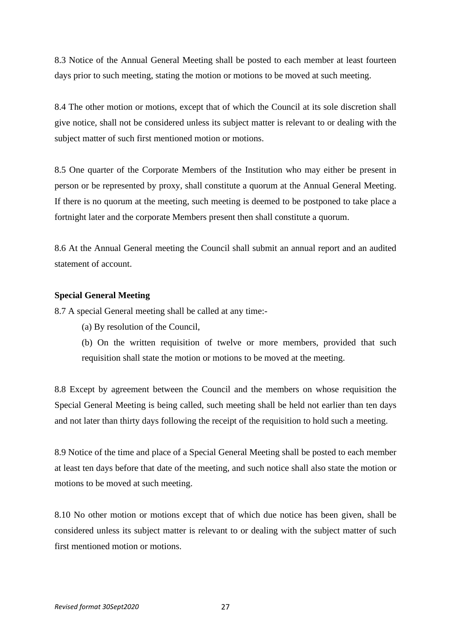8.3 Notice of the Annual General Meeting shall be posted to each member at least fourteen days prior to such meeting, stating the motion or motions to be moved at such meeting.

8.4 The other motion or motions, except that of which the Council at its sole discretion shall give notice, shall not be considered unless its subject matter is relevant to or dealing with the subject matter of such first mentioned motion or motions.

8.5 One quarter of the Corporate Members of the Institution who may either be present in person or be represented by proxy, shall constitute a quorum at the Annual General Meeting. If there is no quorum at the meeting, such meeting is deemed to be postponed to take place a fortnight later and the corporate Members present then shall constitute a quorum.

8.6 At the Annual General meeting the Council shall submit an annual report and an audited statement of account.

#### **Special General Meeting**

8.7 A special General meeting shall be called at any time:-

- (a) By resolution of the Council,
- (b) On the written requisition of twelve or more members, provided that such requisition shall state the motion or motions to be moved at the meeting.

8.8 Except by agreement between the Council and the members on whose requisition the Special General Meeting is being called, such meeting shall be held not earlier than ten days and not later than thirty days following the receipt of the requisition to hold such a meeting.

8.9 Notice of the time and place of a Special General Meeting shall be posted to each member at least ten days before that date of the meeting, and such notice shall also state the motion or motions to be moved at such meeting.

8.10 No other motion or motions except that of which due notice has been given, shall be considered unless its subject matter is relevant to or dealing with the subject matter of such first mentioned motion or motions.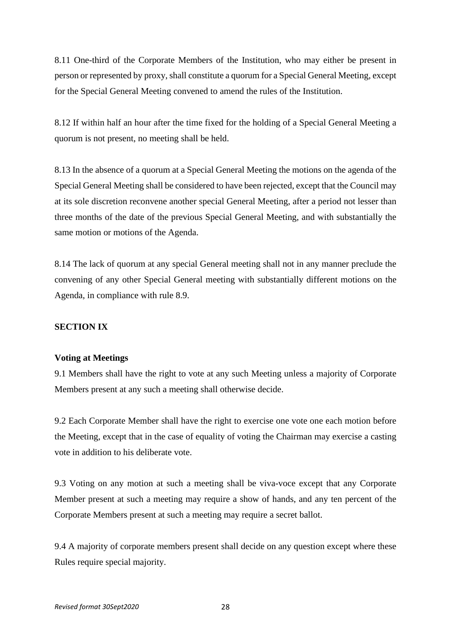8.11 One-third of the Corporate Members of the Institution, who may either be present in person or represented by proxy, shall constitute a quorum for a Special General Meeting, except for the Special General Meeting convened to amend the rules of the Institution.

8.12 If within half an hour after the time fixed for the holding of a Special General Meeting a quorum is not present, no meeting shall be held.

8.13 In the absence of a quorum at a Special General Meeting the motions on the agenda of the Special General Meeting shall be considered to have been rejected, except that the Council may at its sole discretion reconvene another special General Meeting, after a period not lesser than three months of the date of the previous Special General Meeting, and with substantially the same motion or motions of the Agenda.

8.14 The lack of quorum at any special General meeting shall not in any manner preclude the convening of any other Special General meeting with substantially different motions on the Agenda, in compliance with rule 8.9.

# **SECTION IX**

# **Voting at Meetings**

9.1 Members shall have the right to vote at any such Meeting unless a majority of Corporate Members present at any such a meeting shall otherwise decide.

9.2 Each Corporate Member shall have the right to exercise one vote one each motion before the Meeting, except that in the case of equality of voting the Chairman may exercise a casting vote in addition to his deliberate vote.

9.3 Voting on any motion at such a meeting shall be viva-voce except that any Corporate Member present at such a meeting may require a show of hands, and any ten percent of the Corporate Members present at such a meeting may require a secret ballot.

9.4 A majority of corporate members present shall decide on any question except where these Rules require special majority.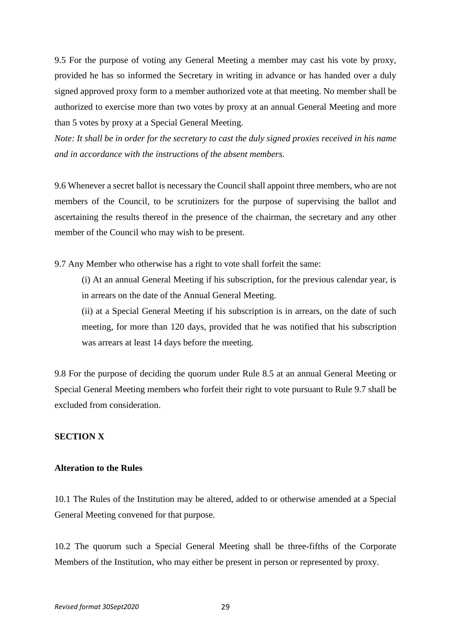9.5 For the purpose of voting any General Meeting a member may cast his vote by proxy, provided he has so informed the Secretary in writing in advance or has handed over a duly signed approved proxy form to a member authorized vote at that meeting. No member shall be authorized to exercise more than two votes by proxy at an annual General Meeting and more than 5 votes by proxy at a Special General Meeting.

Note: It shall be in order for the secretary to cast the duly signed proxies received in his name *and in accordance with the instructions of the absent members.*

9.6 Whenever a secret ballot is necessary the Council shall appoint three members, who are not members of the Council, to be scrutinizers for the purpose of supervising the ballot and ascertaining the results thereof in the presence of the chairman, the secretary and any other member of the Council who may wish to be present.

9.7 Any Member who otherwise has a right to vote shall forfeit the same:

(i) At an annual General Meeting if his subscription, for the previous calendar year, is in arrears on the date of the Annual General Meeting.

(ii) at a Special General Meeting if his subscription is in arrears, on the date of such meeting, for more than 120 days, provided that he was notified that his subscription was arrears at least 14 days before the meeting.

9.8 For the purpose of deciding the quorum under Rule 8.5 at an annual General Meeting or Special General Meeting members who forfeit their right to vote pursuant to Rule 9.7 shall be excluded from consideration.

# **SECTION X**

#### **Alteration to the Rules**

10.1 The Rules of the Institution may be altered, added to or otherwise amended at a Special General Meeting convened for that purpose.

10.2 The quorum such a Special General Meeting shall be three-fifths of the Corporate Members of the Institution, who may either be present in person or represented by proxy.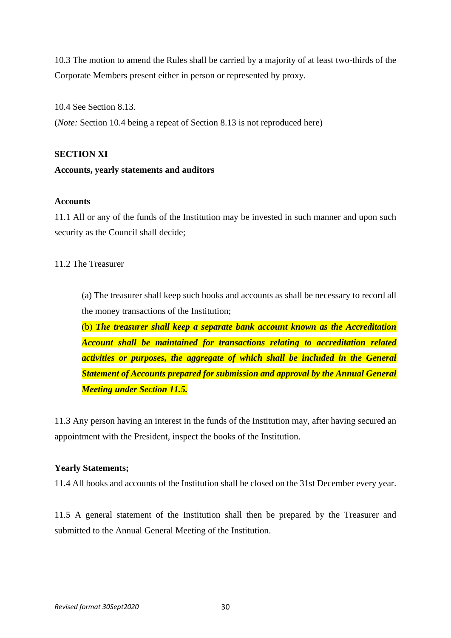10.3 The motion to amend the Rules shall be carried by a majority of at least two-thirds of the Corporate Members present either in person or represented by proxy.

10.4 See Section 8.13.

(*Note:* Section 10.4 being a repeat of Section 8.13 is not reproduced here)

# **SECTION XI**

# **Accounts, yearly statements and auditors**

# **Accounts**

11.1 All or any of the funds of the Institution may be invested in such manner and upon such security as the Council shall decide;

# 11.2 The Treasurer

(a) The treasurer shall keep such books and accounts as shall be necessary to record all the money transactions of the Institution;

(b) *The treasurer shall keep a separate bank account known as the Accreditation Account shall be maintained for transactions relating to accreditation related activities or purposes, the aggregate of which shall be included in the General Statement of Accounts prepared for submission and approval by the Annual General Meeting under Section 11.5.*

11.3 Any person having an interest in the funds of the Institution may, after having secured an appointment with the President, inspect the books of the Institution.

# **Yearly Statements;**

11.4 All books and accounts of the Institution shall be closed on the 31st December every year.

11.5 A general statement of the Institution shall then be prepared by the Treasurer and submitted to the Annual General Meeting of the Institution.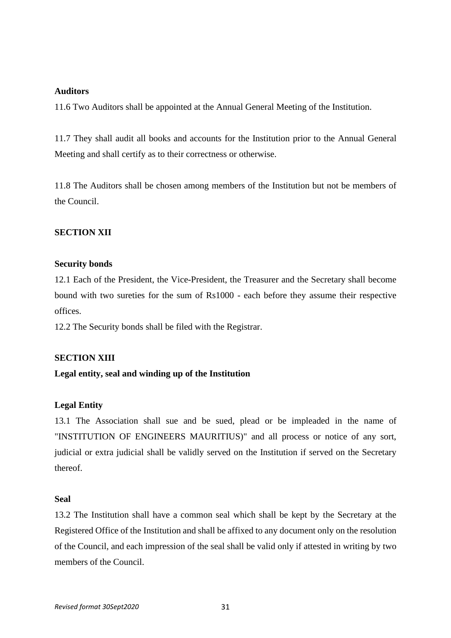# **Auditors**

11.6 Two Auditors shall be appointed at the Annual General Meeting of the Institution.

11.7 They shall audit all books and accounts for the Institution prior to the Annual General Meeting and shall certify as to their correctness or otherwise.

11.8 The Auditors shall be chosen among members of the Institution but not be members of the Council.

# **SECTION XII**

#### **Security bonds**

12.1 Each of the President, the Vice-President, the Treasurer and the Secretary shall become bound with two sureties for the sum of Rs1000 - each before they assume their respective offices.

12.2 The Security bonds shall be filed with the Registrar.

# **SECTION XIII**

# **Legal entity, seal and winding up of the Institution**

# **Legal Entity**

13.1 The Association shall sue and be sued, plead or be impleaded in the name of "INSTITUTION OF ENGINEERS MAURITIUS)" and all process or notice of any sort, judicial or extra judicial shall be validly served on the Institution if served on the Secretary thereof.

# **Seal**

13.2 The Institution shall have a common seal which shall be kept by the Secretary at the Registered Office of the Institution and shall be affixed to any document only on the resolution of the Council, and each impression of the seal shall be valid only if attested in writing by two members of the Council.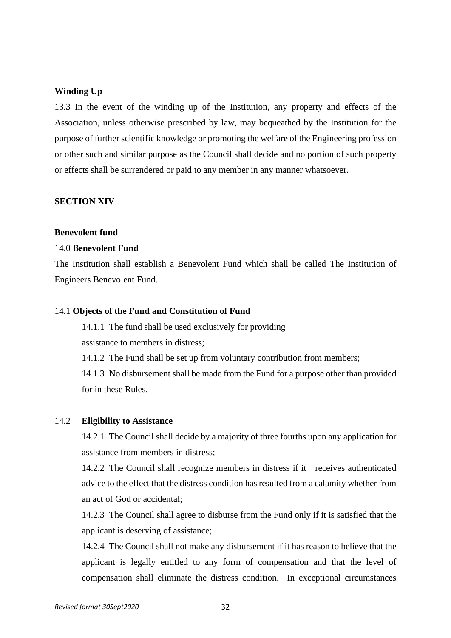#### **Winding Up**

13.3 In the event of the winding up of the Institution, any property and effects of the Association, unless otherwise prescribed by law, may bequeathed by the Institution for the purpose of further scientific knowledge or promoting the welfare of the Engineering profession or other such and similar purpose as the Council shall decide and no portion of such property or effects shall be surrendered or paid to any member in any manner whatsoever.

#### **SECTION XIV**

#### **Benevolent fund**

#### 14.0 **Benevolent Fund**

The Institution shall establish a Benevolent Fund which shall be called The Institution of Engineers Benevolent Fund.

#### 14.1 **Objects of the Fund and Constitution of Fund**

14.1.1 The fund shall be used exclusively for providing assistance to members in distress;

14.1.2 The Fund shall be set up from voluntary contribution from members;

14.1.3 No disbursement shall be made from the Fund for a purpose other than provided for in these Rules.

#### 14.2 **Eligibility to Assistance**

14.2.1 The Council shall decide by a majority of three fourths upon any application for assistance from members in distress;

14.2.2 The Council shall recognize members in distress if it receives authenticated advice to the effect that the distress condition has resulted from a calamity whether from an act of God or accidental;

14.2.3 The Council shall agree to disburse from the Fund only if it is satisfied that the applicant is deserving of assistance;

14.2.4 The Council shall not make any disbursement if it has reason to believe that the applicant is legally entitled to any form of compensation and that the level of compensation shall eliminate the distress condition. In exceptional circumstances